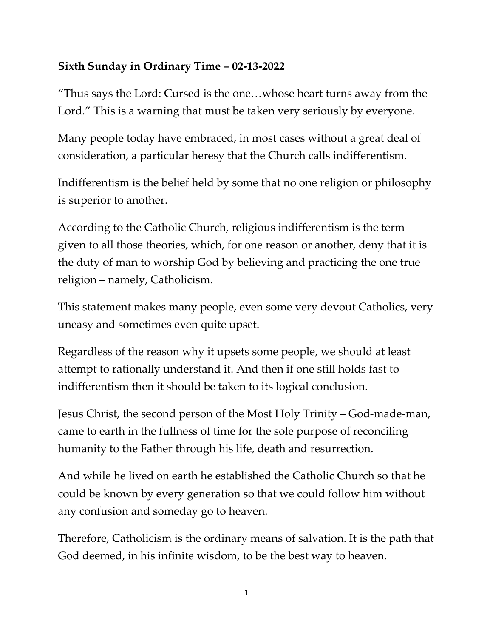## **Sixth Sunday in Ordinary Time – 02-13-2022**

"Thus says the Lord: Cursed is the one…whose heart turns away from the Lord." This is a warning that must be taken very seriously by everyone.

Many people today have embraced, in most cases without a great deal of consideration, a particular heresy that the Church calls indifferentism.

Indifferentism is the belief held by some that no one religion or philosophy is superior to another.

According to the Catholic Church, religious indifferentism is the term given to all those theories, which, for one reason or another, deny that it is the duty of man to worship God by believing and practicing the one true religion – namely, Catholicism.

This statement makes many people, even some very devout Catholics, very uneasy and sometimes even quite upset.

Regardless of the reason why it upsets some people, we should at least attempt to rationally understand it. And then if one still holds fast to indifferentism then it should be taken to its logical conclusion.

Jesus Christ, the second person of the Most Holy Trinity – God-made-man, came to earth in the fullness of time for the sole purpose of reconciling humanity to the Father through his life, death and resurrection.

And while he lived on earth he established the Catholic Church so that he could be known by every generation so that we could follow him without any confusion and someday go to heaven.

Therefore, Catholicism is the ordinary means of salvation. It is the path that God deemed, in his infinite wisdom, to be the best way to heaven.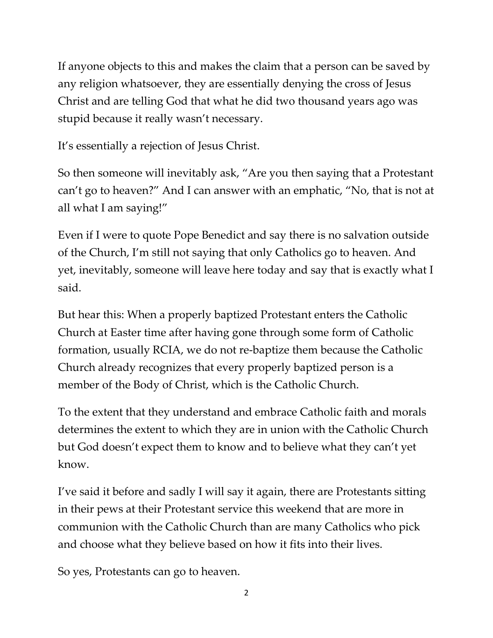If anyone objects to this and makes the claim that a person can be saved by any religion whatsoever, they are essentially denying the cross of Jesus Christ and are telling God that what he did two thousand years ago was stupid because it really wasn't necessary.

It's essentially a rejection of Jesus Christ.

So then someone will inevitably ask, "Are you then saying that a Protestant can't go to heaven?" And I can answer with an emphatic, "No, that is not at all what I am saying!"

Even if I were to quote Pope Benedict and say there is no salvation outside of the Church, I'm still not saying that only Catholics go to heaven. And yet, inevitably, someone will leave here today and say that is exactly what I said.

But hear this: When a properly baptized Protestant enters the Catholic Church at Easter time after having gone through some form of Catholic formation, usually RCIA, we do not re-baptize them because the Catholic Church already recognizes that every properly baptized person is a member of the Body of Christ, which is the Catholic Church.

To the extent that they understand and embrace Catholic faith and morals determines the extent to which they are in union with the Catholic Church but God doesn't expect them to know and to believe what they can't yet know.

I've said it before and sadly I will say it again, there are Protestants sitting in their pews at their Protestant service this weekend that are more in communion with the Catholic Church than are many Catholics who pick and choose what they believe based on how it fits into their lives.

So yes, Protestants can go to heaven.